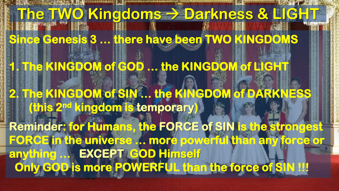**The TWO Kingdoms**  $\rightarrow$  **Darkness & LIGH Since Genesis 3 … there have been TWO KINGDOMS**  *<b>* **1. The KINGDOM of GOD … the KINGDOM of LIGHT**  *<b>* **1006 2. The KINGDOM of SIN … the KINGDOM of DARKNESS (this 2nd kingdom is temporary) Reminder: for Humans, the FORCE of SIN is the strongest FORCE in the universe … more powerful than any force or anything … EXCEPT GOD Himself Only GOD is more POWERFUL than the force of SIN !!!**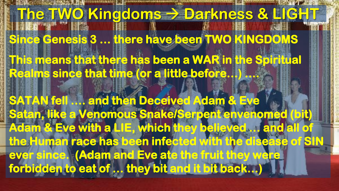## **The TWO Kingdoms**  $\rightarrow$  **Darkness & LIGH Since Genesis 3 … there have been TWO KINGDOMS This means that there has been a WAR in the Spiritual Realms since that time (or a little before…) …. SATAN fell …. and then Deceived Adam & Eve Satan, like a Venomous Snake/Serpent envenomed (bit) Adam & Eve with a LIE, which they believed … and all of the Human race has been infected with the disease of SIN ever since. (Adam and Eve ate the fruit they were forbidden to eat of … they bit and it bit back…)**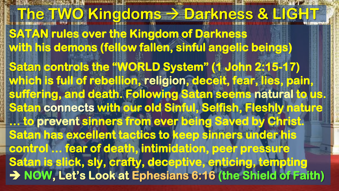**The TWO Kingdoms > Darkness & LIGH SATAN rules over the Kingdom of Darkness with his demons (fellow fallen, sinful angelic beings) Satan controls the "WORLD System" (1 John 2:15-17) which is full of rebellion, religion, deceit, fear, lies, pain, suffering, and death. Following Satan seems natural to us. Satan connects with our old Sinful, Selfish, Fleshly nature … to prevent sinners from ever being Saved by Christ. Satan has excellent tactics to keep sinners under his control … fear of death, intimidation, peer pressure Satan is slick, sly, crafty, deceptive, enticing, tempting**  → NOW, Let's Look at Ephesians 6:16 (the Shield of Faith)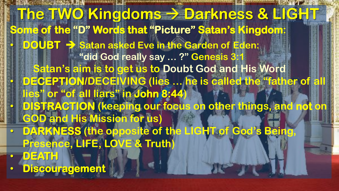**The TWO Kingdoms**  $\rightarrow$  **Darkness & LIGH Some of the "D" Words that "Picture" Satan's Kingdom:** • **DOUBT Satan asked Eve in the Garden of Eden: "did God really say … ?" Genesis 3:1 Satan's aim is to get us to Doubt God and His Word** • **DECEPTION/DECEIVING (lies … he is called the "father of all lies" or "of all liars" in John 8:44)** • **DISTRACTION (keeping our focus on other things, and not on GOD and His Mission for us)** • **DARKNESS (the opposite of the LIGHT of God's Being, Presence, LIFE, LOVE & Truth)** • **DEATH**  • **Discouragement**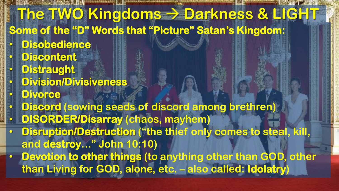**The TWO Kingdoms > Darkness & LIGH Some of the "D" Words that "Picture" Satan's Kingdom:** • **Disobedience**  • **Discontent**  • **Distraught**  • **Division/Divisiveness**  • **Divorce**  • **Discord (sowing seeds of discord among brethren)** • **DISORDER/Disarray (chaos, mayhem)** • **Disruption/Destruction ("the thief only comes to steal, kill, and destroy…" John 10:10)** • **Devotion to other things (to anything other than GOD, other than Living for GOD, alone, etc. – also called: Idolatry)**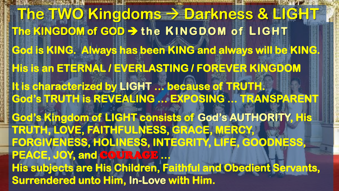**The TWO Kingdoms > Darkness & LIGHT** The KINGDOM of GOD → the KINGDOM of LIGHT **God is KING. Always has been KING and always will be KING. His is an ETERNAL / EVERLASTING / FOREVER KINGDOM It is characterized by LIGHT … because of TRUTH. God's TRUTH is REVEALING … EXPOSING … TRANSPARENT God's Kingdom of LIGHT consists of God's AUTHORITY, His TRUTH, LOVE, FAITHFULNESS, GRACE, MERCY, FORGIVENESS, HOLINESS, INTEGRITY, LIFE, GOODNESS, PEACE, JOY, and** COURAGE **… His subjects are His Children, Faithful and Obedient Servants, Surrendered unto Him, In-Love with Him.**